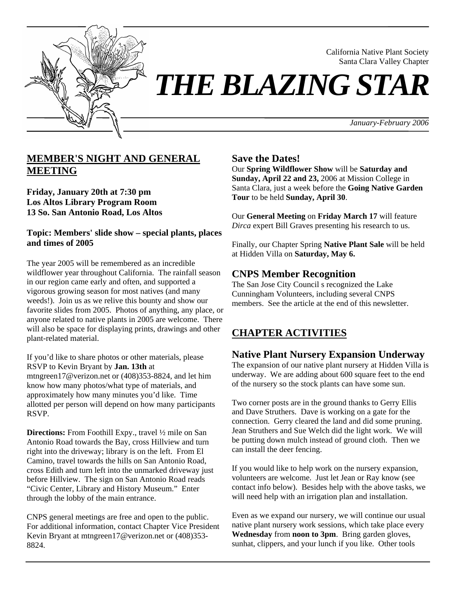

California Native Plant Society Santa Clara Valley Chapter

# *THE BLAZING STAR*

*January-February 2006*

# **MEMBER'S NIGHT AND GENERAL MEETING**

**Friday, January 20th at 7:30 pm Los Altos Library Program Room 13 So. San Antonio Road, Los Altos** 

**Topic: Members' slide show – special plants, places and times of 2005** 

The year 2005 will be remembered as an incredible wildflower year throughout California. The rainfall season in our region came early and often, and supported a vigorous growing season for most natives (and many weeds!). Join us as we relive this bounty and show our favorite slides from 2005. Photos of anything, any place, or anyone related to native plants in 2005 are welcome. There will also be space for displaying prints, drawings and other plant-related material.

If you'd like to share photos or other materials, please RSVP to Kevin Bryant by **Jan. 13th** at mtngreen17@verizon.net or (408)353-8824, and let him know how many photos/what type of materials, and approximately how many minutes you'd like. Time allotted per person will depend on how many participants RSVP.

**Directions:** From Foothill Expy., travel ½ mile on San Antonio Road towards the Bay, cross Hillview and turn right into the driveway; library is on the left. From El Camino, travel towards the hills on San Antonio Road, cross Edith and turn left into the unmarked driveway just before Hillview. The sign on San Antonio Road reads "Civic Center, Library and History Museum." Enter through the lobby of the main entrance.

CNPS general meetings are free and open to the public. For additional information, contact Chapter Vice President Kevin Bryant at mtngreen17@verizon.net or (408)353- 8824.

## **Save the Dates!**

Our **Spring Wildflower Show** will be **Saturday and Sunday, April 22 and 23,** 2006 at Mission College in Santa Clara, just a week before the **Going Native Garden Tour** to be held **Sunday, April 30**.

Our **General Meeting** on **Friday March 17** will feature *Dirca* expert Bill Graves presenting his research to us.

Finally, our Chapter Spring **Native Plant Sale** will be held at Hidden Villa on **Saturday, May 6.** 

## **CNPS Member Recognition**

The San Jose City Council s recognized the Lake Cunningham Volunteers, including several CNPS members. See the article at the end of this newsletter.

# **CHAPTER ACTIVITIES**

## **Native Plant Nursery Expansion Underway**

The expansion of our native plant nursery at Hidden Villa is underway. We are adding about 600 square feet to the end of the nursery so the stock plants can have some sun.

Two corner posts are in the ground thanks to Gerry Ellis and Dave Struthers. Dave is working on a gate for the connection. Gerry cleared the land and did some pruning. Jean Struthers and Sue Welch did the light work. We will be putting down mulch instead of ground cloth. Then we can install the deer fencing.

If you would like to help work on the nursery expansion, volunteers are welcome. Just let Jean or Ray know (see contact info below). Besides help with the above tasks, we will need help with an irrigation plan and installation.

Even as we expand our nursery, we will continue our usual native plant nursery work sessions, which take place every **Wednesday** from **noon to 3pm**. Bring garden gloves, sunhat, clippers, and your lunch if you like. Other tools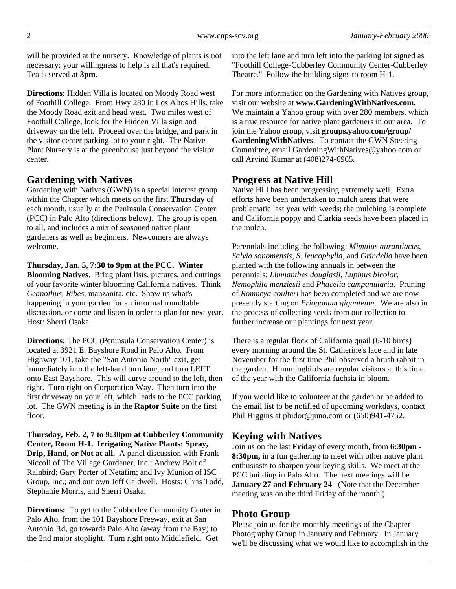will be provided at the nursery. Knowledge of plants is not necessary: your willingness to help is all that's required. Tea is served at **3pm**.

**Directions**: Hidden Villa is located on Moody Road west of Foothill College. From Hwy 280 in Los Altos Hills, take the Moody Road exit and head west. Two miles west of Foothill College, look for the Hidden Villa sign and driveway on the left. Proceed over the bridge, and park in the visitor center parking lot to your right. The Native Plant Nursery is at the greenhouse just beyond the visitor center.

# **Gardening with Natives**

Gardening with Natives (GWN) is a special interest group within the Chapter which meets on the first **Thursday** of each month, usually at the Peninsula Conservation Center (PCC) in Palo Alto (directions below). The group is open to all, and includes a mix of seasoned native plant gardeners as well as beginners. Newcomers are always welcome.

**Thursday, Jan. 5, 7:30 to 9pm at the PCC. Winter** 

**Blooming Natives**. Bring plant lists, pictures, and cuttings of your favorite winter blooming California natives. Think *Ceanothus, Ribes*, manzanita, etc. Show us what's happening in your garden for an informal roundtable discussion, or come and listen in order to plan for next year. Host: Sherri Osaka.

**Directions:** The PCC (Peninsula Conservation Center) is located at 3921 E. Bayshore Road in Palo Alto. From Highway 101, take the "San Antonio North" exit, get immediately into the left-hand turn lane, and turn LEFT onto East Bayshore. This will curve around to the left, then right. Turn right on Corporation Way. Then turn into the first driveway on your left, which leads to the PCC parking lot. The GWN meeting is in the **Raptor Suite** on the first floor.

**Thursday, Feb. 2, 7 to 9:30pm at Cubberley Community Center, Room H-1. Irrigating Native Plants: Spray, Drip, Hand, or Not at all.** A panel discussion with Frank Niccoli of The Village Gardener, Inc.; Andrew Bolt of Rainbird; Gary Porter of Netafim; and Ivy Munion of ISC Group, Inc.; and our own Jeff Caldwell. Hosts: Chris Todd, Stephanie Morris, and Sherri Osaka.

**Directions:** To get to the Cubberley Community Center in Palo Alto, from the 101 Bayshore Freeway, exit at San Antonio Rd, go towards Palo Alto (away from the Bay) to the 2nd major stoplight. Turn right onto Middlefield. Get

into the left lane and turn left into the parking lot signed as "Foothill College-Cubberley Community Center-Cubberley Theatre." Follow the building signs to room H-1.

For more information on the Gardening with Natives group, visit our website at **www.GardeningWithNatives.com**. We maintain a Yahoo group with over 280 members, which is a true resource for native plant gardeners in our area. To join the Yahoo group, visit **groups.yahoo.com/group/ GardeningWithNatives**. To contact the GWN Steering Committee, email GardeningWithNatives@yahoo.com or call Arvind Kumar at (408)274-6965.

# **Progress at Native Hill**

Native Hill has been progressing extremely well. Extra efforts have been undertaken to mulch areas that were problematic last year with weeds; the mulching is complete and California poppy and Clarkia seeds have been placed in the mulch.

Perennials including the following: *Mimulus aurantiacus*, *Salvia sonomensis, S. leucophylla*, and *Grindelia* have been planted with the following annuals in between the perennials: *Limnanthes douglasii, Lupinus bicolor, Nemophila menziesii* and *Phacelia campanularia*. Pruning of *Romneya coulteri* has been completed and we are now presently starting on *Eriogonum giganteum*. We are also in the process of collecting seeds from our collection to further increase our plantings for next year.

There is a regular flock of California quail (6-10 birds) every morning around the St. Catherine's lace and in late November for the first time Phil observed a brush rabbit in the garden. Hummingbirds are regular visitors at this time of the year with the California fuchsia in bloom.

If you would like to volunteer at the garden or be added to the email list to be notified of upcoming workdays, contact Phil Higgins at phidor@juno.com or (650)941-4752.

# **Keying with Natives**

Join us on the last **Friday** of every month, from **6:30pm - 8:30pm,** in a fun gathering to meet with other native plant enthusiasts to sharpen your keying skills. We meet at the PCC building in Palo Alto. The next meetings will be **January 27 and February 24**. (Note that the December meeting was on the third Friday of the month.)

# **Photo Group**

Please join us for the monthly meetings of the Chapter Photography Group in January and February. In January we'll be discussing what we would like to accomplish in the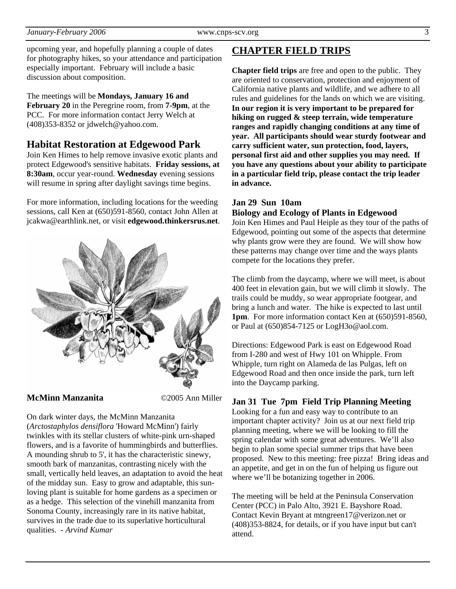upcoming year, and hopefully planning a couple of dates for photography hikes, so your attendance and participation especially important. February will include a basic discussion about composition.

#### The meetings will be **Mondays, January 16 and**

**February 20** in the Peregrine room, from **7-9pm**, at the PCC. For more information contact Jerry Welch at (408)353-8352 or jdwelch@yahoo.com.

#### **Habitat Restoration at Edgewood Park**

Join Ken Himes to help remove invasive exotic plants and protect Edgewood's sensitive habitats. **Friday sessions, at 8:30am**, occur year-round. **Wednesday** evening sessions will resume in spring after daylight savings time begins.

For more information, including locations for the weeding sessions, call Ken at (650)591-8560, contact John Allen at jcakwa@earthlink.net, or visit **edgewood.thinkersrus.net**.



#### **McMinn Manzanita** ©2005 Ann Miller

On dark winter days, the McMinn Manzanita (*Arctostaphylos densiflora* 'Howard McMinn') fairly twinkles with its stellar clusters of white-pink urn-shaped flowers, and is a favorite of hummingbirds and butterflies. A mounding shrub to 5', it has the characteristic sinewy, smooth bark of manzanitas, contrasting nicely with the small, vertically held leaves, an adaptation to avoid the heat of the midday sun. Easy to grow and adaptable, this sunloving plant is suitable for home gardens as a specimen or as a hedge. This selection of the vinehill manzanita from Sonoma County, increasingly rare in its native habitat, survives in the trade due to its superlative horticultural qualities. - *Arvind Kumar* 

# **CHAPTER FIELD TRIPS**

**Chapter field trips** are free and open to the public. They are oriented to conservation, protection and enjoyment of California native plants and wildlife, and we adhere to all rules and guidelines for the lands on which we are visiting. **In our region it is very important to be prepared for hiking on rugged & steep terrain, wide temperature ranges and rapidly changing conditions at any time of year. All participants should wear sturdy footwear and carry sufficient water, sun protection, food, layers, personal first aid and other supplies you may need. If you have any questions about your ability to participate in a particular field trip, please contact the trip leader in advance.** 

#### **Jan 29 Sun 10am**

#### **Biology and Ecology of Plants in Edgewood**

Join Ken Himes and Paul Heiple as they tour of the paths of Edgewood, pointing out some of the aspects that determine why plants grow were they are found. We will show how these patterns may change over time and the ways plants compete for the locations they prefer.

The climb from the daycamp, where we will meet, is about 400 feet in elevation gain, but we will climb it slowly. The trails could be muddy, so wear appropriate footgear, and bring a lunch and water. The hike is expected to last until **1pm**. For more information contact Ken at (650)591-8560, or Paul at (650)854-7125 or LogH3o@aol.com.

Directions: Edgewood Park is east on Edgewood Road from I-280 and west of Hwy 101 on Whipple. From Whipple, turn right on Alameda de las Pulgas, left on Edgewood Road and then once inside the park, turn left into the Daycamp parking.

#### **Jan 31 Tue 7pm Field Trip Planning Meeting**

Looking for a fun and easy way to contribute to an important chapter activity? Join us at our next field trip planning meeting, where we will be looking to fill the spring calendar with some great adventures. We'll also begin to plan some special summer trips that have been proposed. New to this meeting: free pizza! Bring ideas and an appetite, and get in on the fun of helping us figure out where we'll be botanizing together in 2006.

The meeting will be held at the Peninsula Conservation Center (PCC) in Palo Alto, 3921 E. Bayshore Road. Contact Kevin Bryant at mtngreen17@verizon.net or (408)353-8824, for details, or if you have input but can't attend.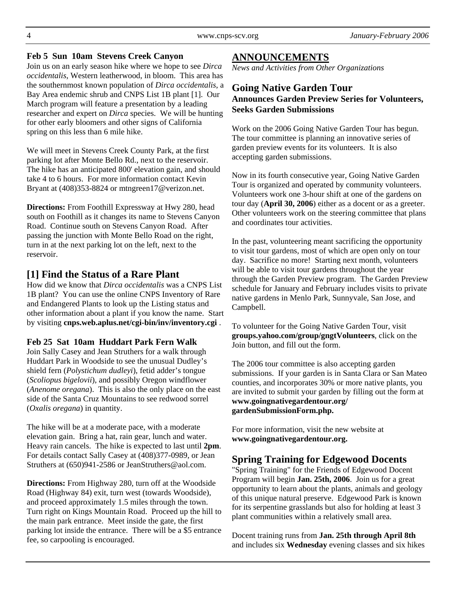#### **Feb 5 Sun 10am Stevens Creek Canyon**

Join us on an early season hike where we hope to see *Dirca occidentalis*, Western leatherwood, in bloom. This area has the southernmost known population of *Dirca occidentalis*, a Bay Area endemic shrub and CNPS List 1B plant [1]. Our March program will feature a presentation by a leading researcher and expert on *Dirca* species. We will be hunting for other early bloomers and other signs of California spring on this less than 6 mile hike.

We will meet in Stevens Creek County Park, at the first parking lot after Monte Bello Rd., next to the reservoir. The hike has an anticipated 800' elevation gain, and should take 4 to 6 hours. For more information contact Kevin Bryant at (408)353-8824 or mtngreen17@verizon.net.

**Directions:** From Foothill Expressway at Hwy 280, head south on Foothill as it changes its name to Stevens Canyon Road. Continue south on Stevens Canyon Road. After passing the junction with Monte Bello Road on the right, turn in at the next parking lot on the left, next to the reservoir.

## **[1] Find the Status of a Rare Plant**

How did we know that *Dirca occidentalis* was a CNPS List 1B plant? You can use the online CNPS Inventory of Rare and Endangered Plants to look up the Listing status and other information about a plant if you know the name. Start by visiting **cnps.web.aplus.net/cgi-bin/inv/inventory.cgi** .

#### **Feb 25 Sat 10am Huddart Park Fern Walk**

Join Sally Casey and Jean Struthers for a walk through Huddart Park in Woodside to see the unusual Dudley's shield fern (*Polystichum dudleyi*), fetid adder's tongue (*Scoliopus bigelovii*), and possibly Oregon windflower (*Anenome oregana*). This is also the only place on the east side of the Santa Cruz Mountains to see redwood sorrel (*Oxalis oregana*) in quantity.

The hike will be at a moderate pace, with a moderate elevation gain. Bring a hat, rain gear, lunch and water. Heavy rain cancels. The hike is expected to last until **2pm**. For details contact Sally Casey at (408)377-0989, or Jean Struthers at (650)941-2586 or JeanStruthers@aol.com.

**Directions:** From Highway 280, turn off at the Woodside Road (Highway 84) exit, turn west (towards Woodside), and proceed approximately 1.5 miles through the town. Turn right on Kings Mountain Road. Proceed up the hill to the main park entrance. Meet inside the gate, the first parking lot inside the entrance. There will be a \$5 entrance fee, so carpooling is encouraged.

## **ANNOUNCEMENTS**

*News and Activities from Other Organizations* 

## **Going Native Garden Tour Announces Garden Preview Series for Volunteers, Seeks Garden Submissions**

Work on the 2006 Going Native Garden Tour has begun. The tour committee is planning an innovative series of garden preview events for its volunteers. It is also accepting garden submissions.

Now in its fourth consecutive year, Going Native Garden Tour is organized and operated by community volunteers. Volunteers work one 3-hour shift at one of the gardens on tour day (**April 30, 2006**) either as a docent or as a greeter. Other volunteers work on the steering committee that plans and coordinates tour activities.

In the past, volunteering meant sacrificing the opportunity to visit tour gardens, most of which are open only on tour day. Sacrifice no more! Starting next month, volunteers will be able to visit tour gardens throughout the year through the Garden Preview program. The Garden Preview schedule for January and February includes visits to private native gardens in Menlo Park, Sunnyvale, San Jose, and Campbell.

To volunteer for the Going Native Garden Tour, visit **groups.yahoo.com/group/gngtVolunteers**, click on the Join button, and fill out the form.

The 2006 tour committee is also accepting garden submissions. If your garden is in Santa Clara or San Mateo counties, and incorporates 30% or more native plants, you are invited to submit your garden by filling out the form at **www.goingnativegardentour.org/ gardenSubmissionForm.php.**

For more information, visit the new website at **www.goingnativegardentour.org.** 

# **Spring Training for Edgewood Docents**

"Spring Training" for the Friends of Edgewood Docent Program will begin **Jan. 25th, 2006**. Join us for a great opportunity to learn about the plants, animals and geology of this unique natural preserve. Edgewood Park is known for its serpentine grasslands but also for holding at least 3 plant communities within a relatively small area.

Docent training runs from **Jan. 25th through April 8th** and includes six **Wednesday** evening classes and six hikes